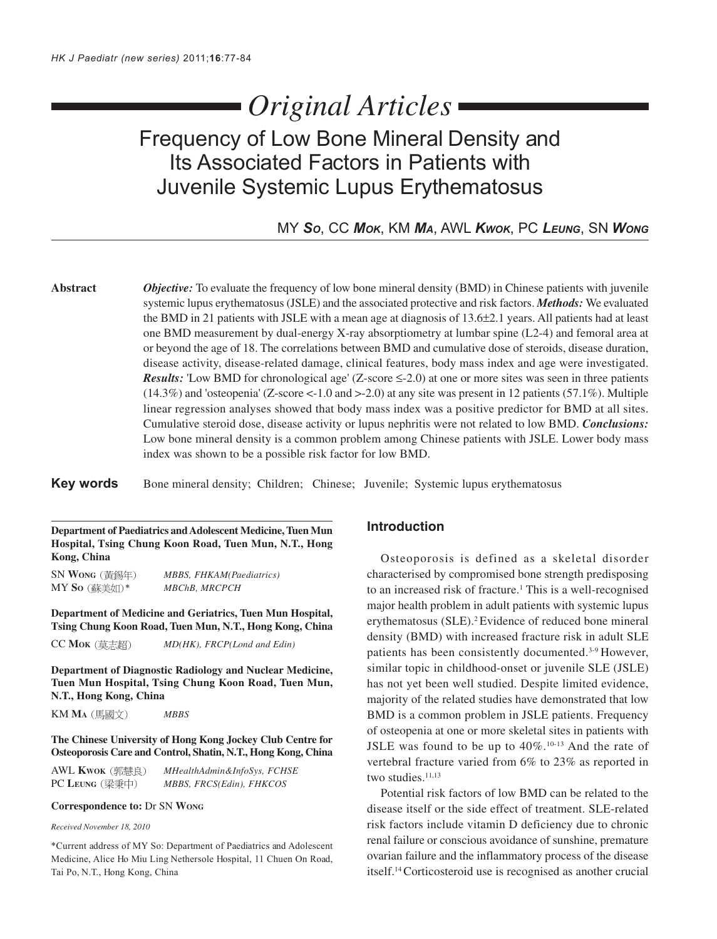# *Original Articles*

# Frequency of Low Bone Mineral Density and Its Associated Factors in Patients with Juvenile Systemic Lupus Erythematosus

MY *SO*, CC *MOK*, KM *MA*, AWL *KWOK*, PC *LEUNG*, SN *WONG*

**Abstract** *Objective:* To evaluate the frequency of low bone mineral density (BMD) in Chinese patients with juvenile systemic lupus erythematosus (JSLE) and the associated protective and risk factors. *Methods:* We evaluated the BMD in 21 patients with JSLE with a mean age at diagnosis of 13.6±2.1 years. All patients had at least one BMD measurement by dual-energy X-ray absorptiometry at lumbar spine (L2-4) and femoral area at or beyond the age of 18. The correlations between BMD and cumulative dose of steroids, disease duration, disease activity, disease-related damage, clinical features, body mass index and age were investigated. *Results:* 'Low BMD for chronological age' (Z-score  $\leq$ -2.0) at one or more sites was seen in three patients (14.3%) and 'osteopenia' (Z-score <-1.0 and >-2.0) at any site was present in 12 patients (57.1%). Multiple linear regression analyses showed that body mass index was a positive predictor for BMD at all sites. Cumulative steroid dose, disease activity or lupus nephritis were not related to low BMD. *Conclusions:* Low bone mineral density is a common problem among Chinese patients with JSLE. Lower body mass index was shown to be a possible risk factor for low BMD.

Key words Bone mineral density; Children; Chinese; Juvenile; Systemic lupus erythematosus

**Department of Paediatrics and Adolescent Medicine, Tuen Mun Hospital, Tsing Chung Koon Road, Tuen Mun, N.T., Hong Kong, China**

SN **WONG** *MBBS, FHKAM(Paediatrics)* MY So (蘇美如)\* MBChB, MRCPCH

**Department of Medicine and Geriatrics, Tuen Mun Hospital, Tsing Chung Koon Road, Tuen Mun, N.T., Hong Kong, China**

CC **MOK** *MD(HK), FRCP(Lond and Edin)*

**Department of Diagnostic Radiology and Nuclear Medicine, Tuen Mun Hospital, Tsing Chung Koon Road, Tuen Mun, N.T., Hong Kong, China**

KM **MA** *MBBS*

**The Chinese University of Hong Kong Jockey Club Centre for Osteoporosis Care and Control, Shatin, N.T., Hong Kong, China**

| AWL <b>Kwok</b> (郭慧良) | MHealthAdmin&InfoSys, FCHSE |
|-----------------------|-----------------------------|
| PC LEUNG (梁秉中)        | MBBS, FRCS(Edin), FHKCOS    |

#### **Correspondence to:** Dr SN **WONG**

*Received November 18, 2010*

\*Current address of MY So: Department of Paediatrics and Adolescent Medicine, Alice Ho Miu Ling Nethersole Hospital, 11 Chuen On Road, Tai Po, N.T., Hong Kong, China

### **Introduction**

Osteoporosis is defined as a skeletal disorder characterised by compromised bone strength predisposing to an increased risk of fracture.<sup>1</sup> This is a well-recognised major health problem in adult patients with systemic lupus erythematosus (SLE).<sup>2</sup> Evidence of reduced bone mineral density (BMD) with increased fracture risk in adult SLE patients has been consistently documented.<sup>3-9</sup> However, similar topic in childhood-onset or juvenile SLE (JSLE) has not yet been well studied. Despite limited evidence, majority of the related studies have demonstrated that low BMD is a common problem in JSLE patients. Frequency of osteopenia at one or more skeletal sites in patients with JSLE was found to be up to  $40\%$ .<sup>10-13</sup> And the rate of vertebral fracture varied from 6% to 23% as reported in two studies.<sup>11,13</sup>

Potential risk factors of low BMD can be related to the disease itself or the side effect of treatment. SLE-related risk factors include vitamin D deficiency due to chronic renal failure or conscious avoidance of sunshine, premature ovarian failure and the inflammatory process of the disease itself.14 Corticosteroid use is recognised as another crucial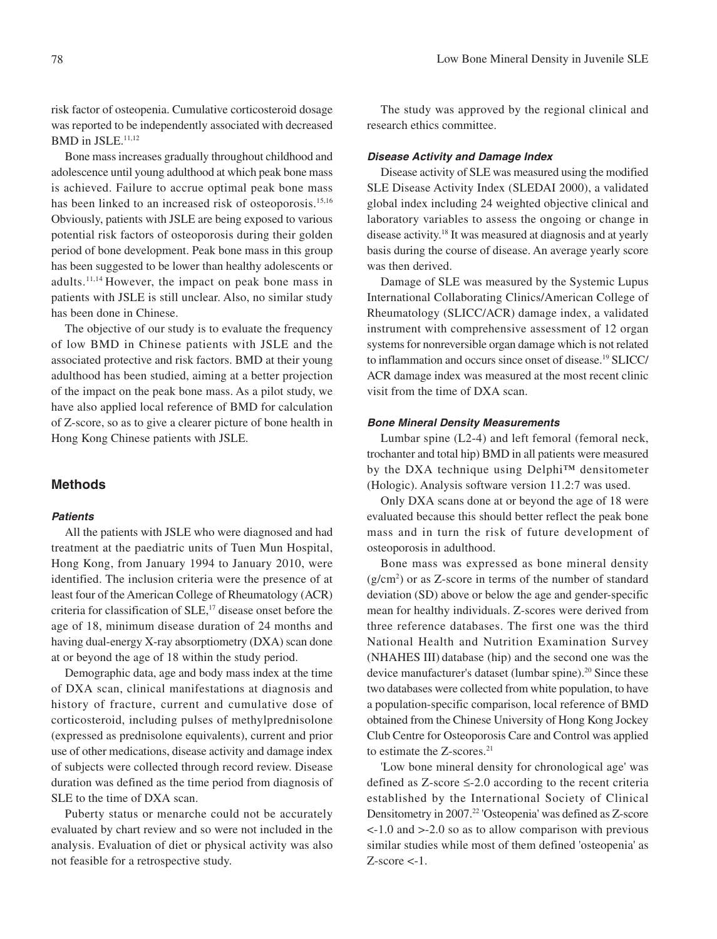risk factor of osteopenia. Cumulative corticosteroid dosage was reported to be independently associated with decreased BMD in JSLE.<sup>11,12</sup>

Bone mass increases gradually throughout childhood and adolescence until young adulthood at which peak bone mass is achieved. Failure to accrue optimal peak bone mass has been linked to an increased risk of osteoporosis.<sup>15,16</sup> Obviously, patients with JSLE are being exposed to various potential risk factors of osteoporosis during their golden period of bone development. Peak bone mass in this group has been suggested to be lower than healthy adolescents or adults.11,14 However, the impact on peak bone mass in patients with JSLE is still unclear. Also, no similar study has been done in Chinese.

The objective of our study is to evaluate the frequency of low BMD in Chinese patients with JSLE and the associated protective and risk factors. BMD at their young adulthood has been studied, aiming at a better projection of the impact on the peak bone mass. As a pilot study, we have also applied local reference of BMD for calculation of Z-score, so as to give a clearer picture of bone health in Hong Kong Chinese patients with JSLE.

#### **Methods**

#### **Patients**

All the patients with JSLE who were diagnosed and had treatment at the paediatric units of Tuen Mun Hospital, Hong Kong, from January 1994 to January 2010, were identified. The inclusion criteria were the presence of at least four of the American College of Rheumatology (ACR) criteria for classification of SLE,<sup>17</sup> disease onset before the age of 18, minimum disease duration of 24 months and having dual-energy X-ray absorptiometry (DXA) scan done at or beyond the age of 18 within the study period.

Demographic data, age and body mass index at the time of DXA scan, clinical manifestations at diagnosis and history of fracture, current and cumulative dose of corticosteroid, including pulses of methylprednisolone (expressed as prednisolone equivalents), current and prior use of other medications, disease activity and damage index of subjects were collected through record review. Disease duration was defined as the time period from diagnosis of SLE to the time of DXA scan.

Puberty status or menarche could not be accurately evaluated by chart review and so were not included in the analysis. Evaluation of diet or physical activity was also not feasible for a retrospective study.

The study was approved by the regional clinical and research ethics committee.

#### **Disease Activity and Damage Index**

Disease activity of SLE was measured using the modified SLE Disease Activity Index (SLEDAI 2000), a validated global index including 24 weighted objective clinical and laboratory variables to assess the ongoing or change in disease activity.18 It was measured at diagnosis and at yearly basis during the course of disease. An average yearly score was then derived.

Damage of SLE was measured by the Systemic Lupus International Collaborating Clinics/American College of Rheumatology (SLICC/ACR) damage index, a validated instrument with comprehensive assessment of 12 organ systems for nonreversible organ damage which is not related to inflammation and occurs since onset of disease.19 SLICC/ ACR damage index was measured at the most recent clinic visit from the time of DXA scan.

#### **Bone Mineral Density Measurements**

Lumbar spine (L2-4) and left femoral (femoral neck, trochanter and total hip) BMD in all patients were measured by the DXA technique using Delphi™ densitometer (Hologic). Analysis software version 11.2:7 was used.

Only DXA scans done at or beyond the age of 18 were evaluated because this should better reflect the peak bone mass and in turn the risk of future development of osteoporosis in adulthood.

Bone mass was expressed as bone mineral density (g/cm2 ) or as Z-score in terms of the number of standard deviation (SD) above or below the age and gender-specific mean for healthy individuals. Z-scores were derived from three reference databases. The first one was the third National Health and Nutrition Examination Survey (NHAHES III) database (hip) and the second one was the device manufacturer's dataset (lumbar spine).<sup>20</sup> Since these two databases were collected from white population, to have a population-specific comparison, local reference of BMD obtained from the Chinese University of Hong Kong Jockey Club Centre for Osteoporosis Care and Control was applied to estimate the Z-scores.<sup>21</sup>

'Low bone mineral density for chronological age' was defined as Z-score ≤-2.0 according to the recent criteria established by the International Society of Clinical Densitometry in 2007.22 'Osteopenia' was defined as Z-score <-1.0 and >-2.0 so as to allow comparison with previous similar studies while most of them defined 'osteopenia' as  $Z$ -score  $\lt$ -1.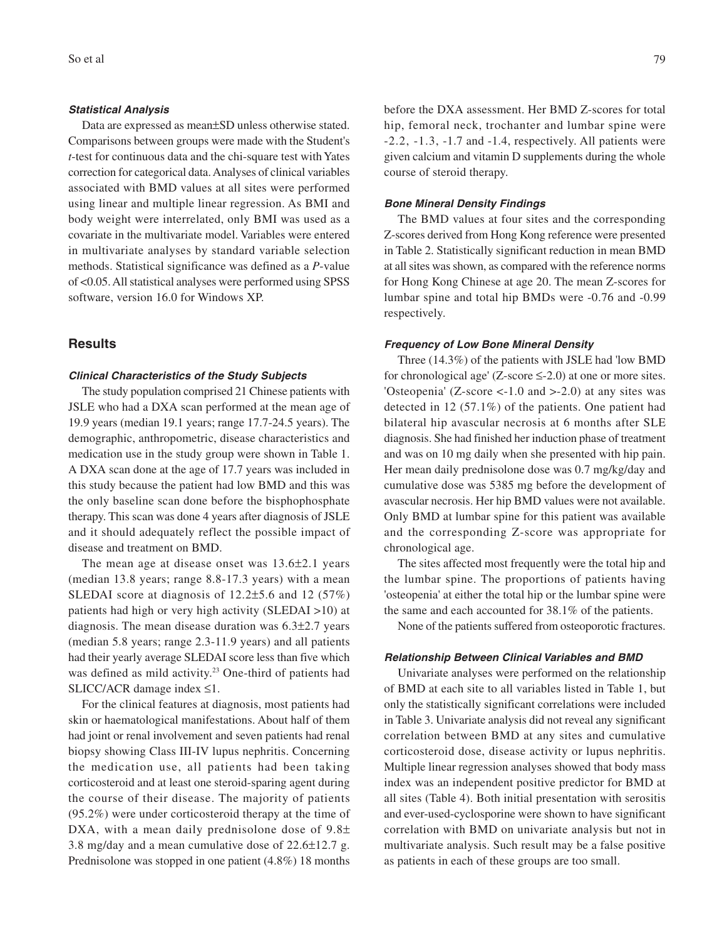#### **Statistical Analysis**

Data are expressed as mean±SD unless otherwise stated. Comparisons between groups were made with the Student's *t*-test for continuous data and the chi-square test with Yates correction for categorical data. Analyses of clinical variables associated with BMD values at all sites were performed using linear and multiple linear regression. As BMI and body weight were interrelated, only BMI was used as a covariate in the multivariate model. Variables were entered in multivariate analyses by standard variable selection methods. Statistical significance was defined as a *P*-value of <0.05. All statistical analyses were performed using SPSS software, version 16.0 for Windows XP.

#### **Results**

#### **Clinical Characteristics of the Study Subjects**

The study population comprised 21 Chinese patients with JSLE who had a DXA scan performed at the mean age of 19.9 years (median 19.1 years; range 17.7-24.5 years). The demographic, anthropometric, disease characteristics and medication use in the study group were shown in Table 1. A DXA scan done at the age of 17.7 years was included in this study because the patient had low BMD and this was the only baseline scan done before the bisphophosphate therapy. This scan was done 4 years after diagnosis of JSLE and it should adequately reflect the possible impact of disease and treatment on BMD.

The mean age at disease onset was 13.6±2.1 years (median 13.8 years; range 8.8-17.3 years) with a mean SLEDAI score at diagnosis of 12.2±5.6 and 12 (57%) patients had high or very high activity (SLEDAI >10) at diagnosis. The mean disease duration was 6.3±2.7 years (median 5.8 years; range 2.3-11.9 years) and all patients had their yearly average SLEDAI score less than five which was defined as mild activity.<sup>23</sup> One-third of patients had SLICC/ACR damage index ≤1.

For the clinical features at diagnosis, most patients had skin or haematological manifestations. About half of them had joint or renal involvement and seven patients had renal biopsy showing Class III-IV lupus nephritis. Concerning the medication use, all patients had been taking corticosteroid and at least one steroid-sparing agent during the course of their disease. The majority of patients (95.2%) were under corticosteroid therapy at the time of DXA, with a mean daily prednisolone dose of  $9.8\pm$ 3.8 mg/day and a mean cumulative dose of 22.6±12.7 g. Prednisolone was stopped in one patient (4.8%) 18 months

before the DXA assessment. Her BMD Z-scores for total hip, femoral neck, trochanter and lumbar spine were -2.2, -1.3, -1.7 and -1.4, respectively. All patients were given calcium and vitamin D supplements during the whole course of steroid therapy.

#### **Bone Mineral Density Findings**

The BMD values at four sites and the corresponding Z-scores derived from Hong Kong reference were presented in Table 2. Statistically significant reduction in mean BMD at all sites was shown, as compared with the reference norms for Hong Kong Chinese at age 20. The mean Z-scores for lumbar spine and total hip BMDs were -0.76 and -0.99 respectively.

#### **Frequency of Low Bone Mineral Density**

Three (14.3%) of the patients with JSLE had 'low BMD for chronological age' (Z-score  $\leq$ -2.0) at one or more sites. 'Osteopenia'  $(Z\text{-score} < -1.0$  and  $> -2.0$ ) at any sites was detected in 12 (57.1%) of the patients. One patient had bilateral hip avascular necrosis at 6 months after SLE diagnosis. She had finished her induction phase of treatment and was on 10 mg daily when she presented with hip pain. Her mean daily prednisolone dose was 0.7 mg/kg/day and cumulative dose was 5385 mg before the development of avascular necrosis. Her hip BMD values were not available. Only BMD at lumbar spine for this patient was available and the corresponding Z-score was appropriate for chronological age.

The sites affected most frequently were the total hip and the lumbar spine. The proportions of patients having 'osteopenia' at either the total hip or the lumbar spine were the same and each accounted for 38.1% of the patients.

None of the patients suffered from osteoporotic fractures.

#### **Relationship Between Clinical Variables and BMD**

Univariate analyses were performed on the relationship of BMD at each site to all variables listed in Table 1, but only the statistically significant correlations were included in Table 3. Univariate analysis did not reveal any significant correlation between BMD at any sites and cumulative corticosteroid dose, disease activity or lupus nephritis. Multiple linear regression analyses showed that body mass index was an independent positive predictor for BMD at all sites (Table 4). Both initial presentation with serositis and ever-used-cyclosporine were shown to have significant correlation with BMD on univariate analysis but not in multivariate analysis. Such result may be a false positive as patients in each of these groups are too small.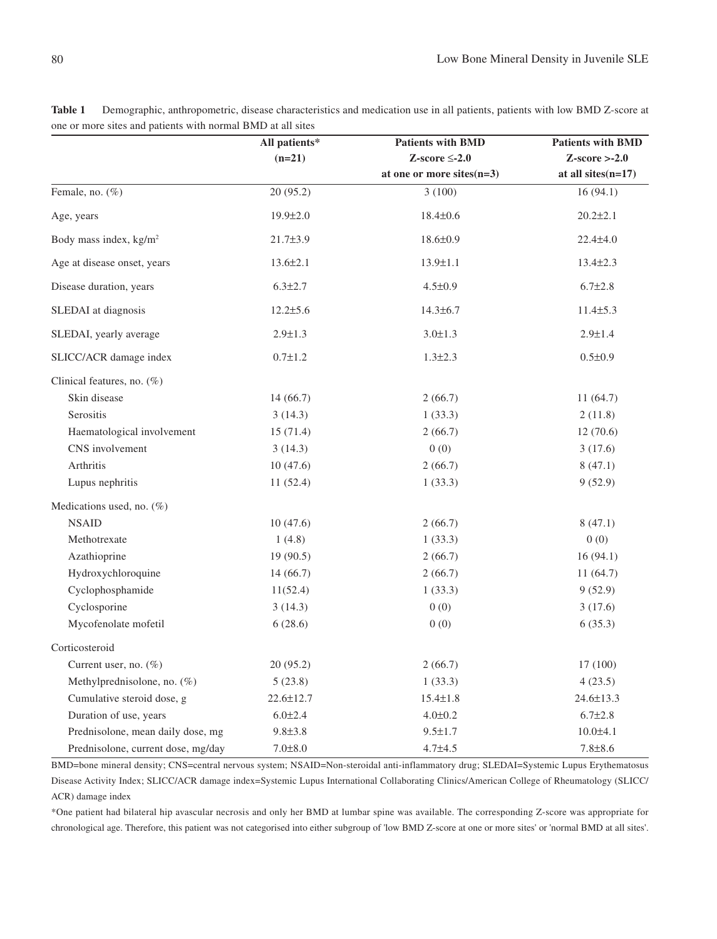|                                    | All patients*   | <b>Patients with BMD</b>     | <b>Patients with BMD</b> |
|------------------------------------|-----------------|------------------------------|--------------------------|
|                                    | $(n=21)$        | Z-score $\leq$ -2.0          | $Z-score > -2.0$         |
|                                    |                 | at one or more sites $(n=3)$ | at all sites $(n=17)$    |
| Female, no. (%)                    | 20(95.2)        | 3(100)                       | 16(94.1)                 |
| Age, years                         | $19.9 \pm 2.0$  | $18.4 \pm 0.6$               | $20.2 \pm 2.1$           |
| Body mass index, kg/m <sup>2</sup> | $21.7 \pm 3.9$  | $18.6 \pm 0.9$               | $22.4 \pm 4.0$           |
| Age at disease onset, years        | $13.6 \pm 2.1$  | $13.9 \pm 1.1$               | $13.4 \pm 2.3$           |
| Disease duration, years            | $6.3 \pm 2.7$   | $4.5 \pm 0.9$                | $6.7 \pm 2.8$            |
| SLEDAI at diagnosis                | $12.2 \pm 5.6$  | $14.3 \pm 6.7$               | $11.4 \pm 5.3$           |
| SLEDAI, yearly average             | $2.9 \pm 1.3$   | $3.0 \pm 1.3$                | $2.9 \pm 1.4$            |
| SLICC/ACR damage index             | $0.7 \pm 1.2$   | $1.3 \pm 2.3$                | $0.5 \pm 0.9$            |
| Clinical features, no. (%)         |                 |                              |                          |
| Skin disease                       | 14(66.7)        | 2(66.7)                      | 11(64.7)                 |
| Serositis                          | 3(14.3)         | 1(33.3)                      | 2(11.8)                  |
| Haematological involvement         | 15(71.4)        | 2(66.7)                      | 12(70.6)                 |
| CNS involvement                    | 3(14.3)         | 0(0)                         | 3(17.6)                  |
| Arthritis                          | 10(47.6)        | 2(66.7)                      | 8(47.1)                  |
| Lupus nephritis                    | 11(52.4)        | 1(33.3)                      | 9(52.9)                  |
| Medications used, no. (%)          |                 |                              |                          |
| <b>NSAID</b>                       | 10(47.6)        | 2(66.7)                      | 8(47.1)                  |
| Methotrexate                       | 1(4.8)          | 1(33.3)                      | 0(0)                     |
| Azathioprine                       | 19 (90.5)       | 2(66.7)                      | 16(94.1)                 |
| Hydroxychloroquine                 | 14(66.7)        | 2(66.7)                      | 11(64.7)                 |
| Cyclophosphamide                   | 11(52.4)        | 1(33.3)                      | 9(52.9)                  |
| Cyclosporine                       | 3(14.3)         | 0(0)                         | 3(17.6)                  |
| Mycofenolate mofetil               | 6(28.6)         | 0(0)                         | 6(35.3)                  |
| Corticosteroid                     |                 |                              |                          |
| Current user, no. (%)              | 20(95.2)        | 2(66.7)                      | 17 (100)                 |
| Methylprednisolone, no. (%)        | 5(23.8)         | 1(33.3)                      | 4(23.5)                  |
| Cumulative steroid dose, g         | $22.6 \pm 12.7$ | $15.4 \pm 1.8$               | $24.6 \pm 13.3$          |
| Duration of use, years             | $6.0 \pm 2.4$   | $4.0 \pm 0.2$                | $6.7 \pm 2.8$            |
| Prednisolone, mean daily dose, mg  | $9.8 \pm 3.8$   | $9.5 \pm 1.7$                | 10.0±4.1                 |
| Prednisolone, current dose, mg/day | $7.0 \pm 8.0$   | $4.7 + 4.5$                  | $7.8 \pm 8.6$            |

**Table 1** Demographic, anthropometric, disease characteristics and medication use in all patients, patients with low BMD Z-score at one or more sites and patients with normal BMD at all sites

BMD=bone mineral density; CNS=central nervous system; NSAID=Non-steroidal anti-inflammatory drug; SLEDAI=Systemic Lupus Erythematosus Disease Activity Index; SLICC/ACR damage index=Systemic Lupus International Collaborating Clinics/American College of Rheumatology (SLICC/ ACR) damage index

\*One patient had bilateral hip avascular necrosis and only her BMD at lumbar spine was available. The corresponding Z-score was appropriate for chronological age. Therefore, this patient was not categorised into either subgroup of 'low BMD Z-score at one or more sites' or 'normal BMD at all sites'.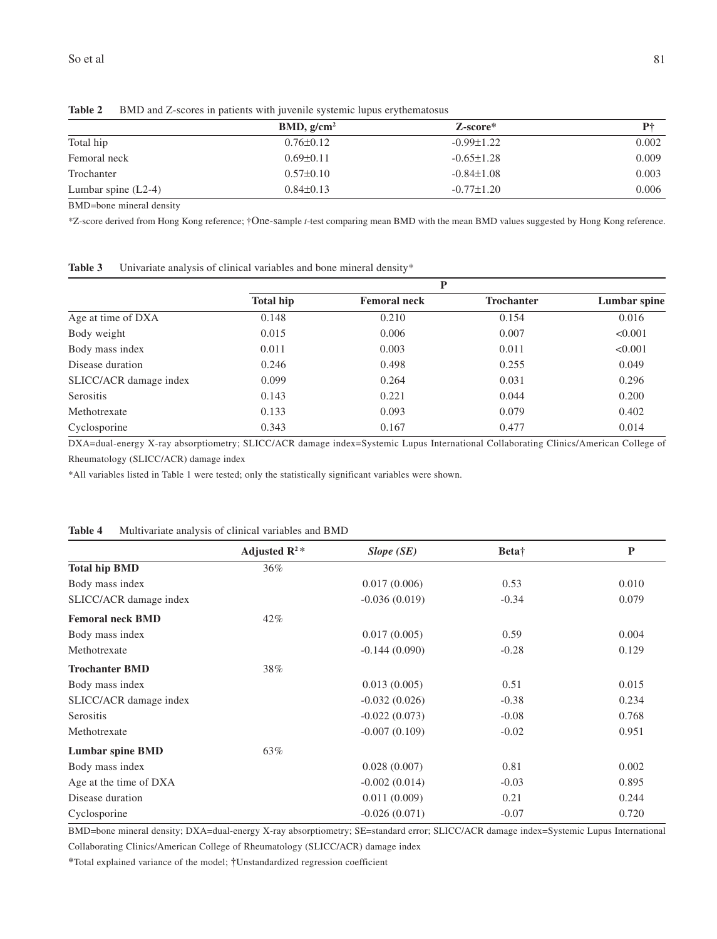|                       | BMD, g/cm <sup>2</sup> | Z-score*         | P†    |
|-----------------------|------------------------|------------------|-------|
| Total hip             | $0.76 \pm 0.12$        | $-0.99 \pm 1.22$ | 0.002 |
| Femoral neck          | $0.69 \pm 0.11$        | $-0.65 \pm 1.28$ | 0.009 |
| Trochanter            | $0.57 \pm 0.10$        | $-0.84 \pm 1.08$ | 0.003 |
| Lumbar spine $(L2-4)$ | $0.84\pm0.13$          | $-0.77 \pm 1.20$ | 0.006 |

Table 2 BMD and Z-scores in patients with juvenile systemic lupus erythematosus

BMD=bone mineral density

\*Z-score derived from Hong Kong reference; †One-sample *t*-test comparing mean BMD with the mean BMD values suggested by Hong Kong reference.

| Table 3<br>Univariate analysis of clinical variables and bone mineral density* |  |
|--------------------------------------------------------------------------------|--|
|--------------------------------------------------------------------------------|--|

|                        | D                |                     |                   |              |
|------------------------|------------------|---------------------|-------------------|--------------|
|                        | <b>Total hip</b> | <b>Femoral neck</b> | <b>Trochanter</b> | Lumbar spine |
| Age at time of DXA     | 0.148            | 0.210               | 0.154             | 0.016        |
| Body weight            | 0.015            | 0.006               | 0.007             | < 0.001      |
| Body mass index        | 0.011            | 0.003               | 0.011             | < 0.001      |
| Disease duration       | 0.246            | 0.498               | 0.255             | 0.049        |
| SLICC/ACR damage index | 0.099            | 0.264               | 0.031             | 0.296        |
| Serositis              | 0.143            | 0.221               | 0.044             | 0.200        |
| Methotrexate           | 0.133            | 0.093               | 0.079             | 0.402        |
| Cyclosporine           | 0.343            | 0.167               | 0.477             | 0.014        |

DXA=dual-energy X-ray absorptiometry; SLICC/ACR damage index=Systemic Lupus International Collaborating Clinics/American College of Rheumatology (SLICC/ACR) damage index

\*All variables listed in Table 1 were tested; only the statistically significant variables were shown.

|  | Adjusted $\mathbb{R}^2$ * | $Slope$ (SE) |
|--|---------------------------|--------------|
|  |                           |              |

**Table 4** Multivariate analysis of clinical variables and BMD

|                         | Adjusted $\mathbb{R}^2$ * | $Slope$ (SE)    | Beta <sup>†</sup> | $\mathbf{P}$ |
|-------------------------|---------------------------|-----------------|-------------------|--------------|
| <b>Total hip BMD</b>    | 36%                       |                 |                   |              |
| Body mass index         |                           | 0.017(0.006)    | 0.53              | 0.010        |
| SLICC/ACR damage index  |                           | $-0.036(0.019)$ | $-0.34$           | 0.079        |
| <b>Femoral neck BMD</b> | $42\%$                    |                 |                   |              |
| Body mass index         |                           | 0.017(0.005)    | 0.59              | 0.004        |
| Methotrexate            |                           | $-0.144(0.090)$ | $-0.28$           | 0.129        |
| <b>Trochanter BMD</b>   | 38%                       |                 |                   |              |
| Body mass index         |                           | 0.013(0.005)    | 0.51              | 0.015        |
| SLICC/ACR damage index  |                           | $-0.032(0.026)$ | $-0.38$           | 0.234        |
| Serositis               |                           | $-0.022(0.073)$ | $-0.08$           | 0.768        |
| Methotrexate            |                           | $-0.007(0.109)$ | $-0.02$           | 0.951        |
| <b>Lumbar spine BMD</b> | 63%                       |                 |                   |              |
| Body mass index         |                           | 0.028(0.007)    | 0.81              | 0.002        |
| Age at the time of DXA  |                           | $-0.002(0.014)$ | $-0.03$           | 0.895        |
| Disease duration        |                           | 0.011(0.009)    | 0.21              | 0.244        |
| Cyclosporine            |                           | $-0.026(0.071)$ | $-0.07$           | 0.720        |

BMD=bone mineral density; DXA=dual-energy X-ray absorptiometry; SE=standard error; SLICC/ACR damage index=Systemic Lupus International Collaborating Clinics/American College of Rheumatology (SLICC/ACR) damage index

**\***Total explained variance of the model; †Unstandardized regression coefficient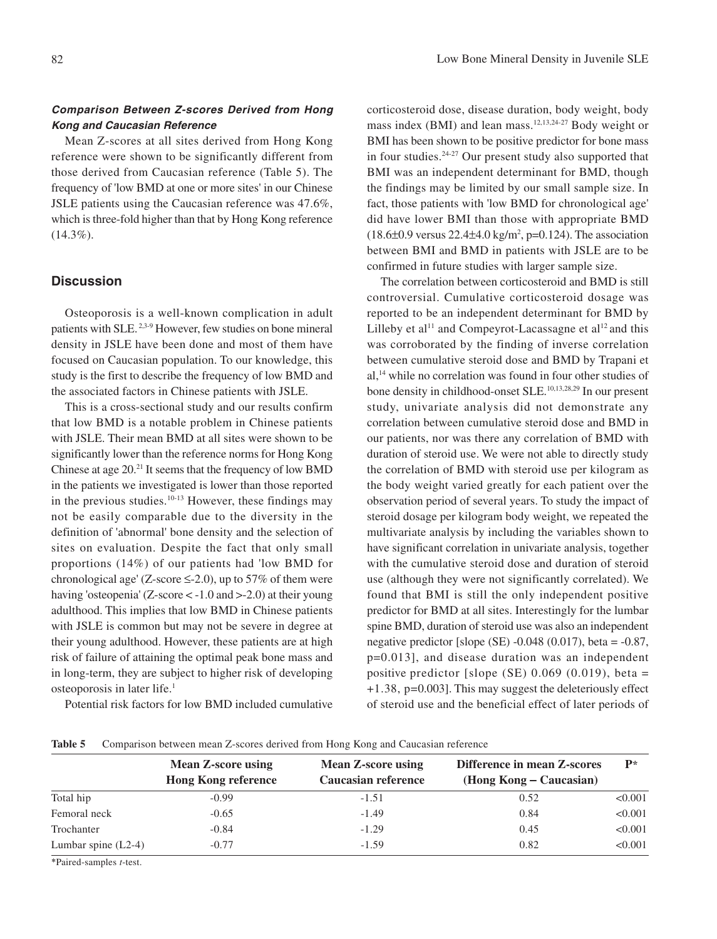# **Comparison Between Z-scores Derived from Hong Kong and Caucasian Reference**

Mean Z-scores at all sites derived from Hong Kong reference were shown to be significantly different from those derived from Caucasian reference (Table 5). The frequency of 'low BMD at one or more sites' in our Chinese JSLE patients using the Caucasian reference was 47.6%, which is three-fold higher than that by Hong Kong reference  $(14.3\%)$ .

## **Discussion**

Osteoporosis is a well-known complication in adult patients with SLE. 2,3-9 However, few studies on bone mineral density in JSLE have been done and most of them have focused on Caucasian population. To our knowledge, this study is the first to describe the frequency of low BMD and the associated factors in Chinese patients with JSLE.

This is a cross-sectional study and our results confirm that low BMD is a notable problem in Chinese patients with JSLE. Their mean BMD at all sites were shown to be significantly lower than the reference norms for Hong Kong Chinese at age 20.21 It seems that the frequency of low BMD in the patients we investigated is lower than those reported in the previous studies. $10-13$  However, these findings may not be easily comparable due to the diversity in the definition of 'abnormal' bone density and the selection of sites on evaluation. Despite the fact that only small proportions (14%) of our patients had 'low BMD for chronological age' (Z-score  $\leq$ -2.0), up to 57% of them were having 'osteopenia' (Z-score < -1.0 and >-2.0) at their young adulthood. This implies that low BMD in Chinese patients with JSLE is common but may not be severe in degree at their young adulthood. However, these patients are at high risk of failure of attaining the optimal peak bone mass and in long-term, they are subject to higher risk of developing osteoporosis in later life.1

Potential risk factors for low BMD included cumulative

corticosteroid dose, disease duration, body weight, body mass index (BMI) and lean mass.12,13,24-27 Body weight or BMI has been shown to be positive predictor for bone mass in four studies.24-27 Our present study also supported that BMI was an independent determinant for BMD, though the findings may be limited by our small sample size. In fact, those patients with 'low BMD for chronological age' did have lower BMI than those with appropriate BMD  $(18.6\pm0.9 \text{ versus } 22.4\pm4.0 \text{ kg/m}^2, p=0.124)$ . The association between BMI and BMD in patients with JSLE are to be confirmed in future studies with larger sample size.

The correlation between corticosteroid and BMD is still controversial. Cumulative corticosteroid dosage was reported to be an independent determinant for BMD by Lilleby et al<sup>11</sup> and Compeyrot-Lacassagne et al<sup>12</sup> and this was corroborated by the finding of inverse correlation between cumulative steroid dose and BMD by Trapani et al,14 while no correlation was found in four other studies of bone density in childhood-onset SLE.<sup>10,13,28,29</sup> In our present study, univariate analysis did not demonstrate any correlation between cumulative steroid dose and BMD in our patients, nor was there any correlation of BMD with duration of steroid use. We were not able to directly study the correlation of BMD with steroid use per kilogram as the body weight varied greatly for each patient over the observation period of several years. To study the impact of steroid dosage per kilogram body weight, we repeated the multivariate analysis by including the variables shown to have significant correlation in univariate analysis, together with the cumulative steroid dose and duration of steroid use (although they were not significantly correlated). We found that BMI is still the only independent positive predictor for BMD at all sites. Interestingly for the lumbar spine BMD, duration of steroid use was also an independent negative predictor [slope (SE)  $-0.048$  (0.017), beta =  $-0.87$ , p=0.013], and disease duration was an independent positive predictor [slope (SE)  $0.069$  (0.019), beta = +1.38, p=0.003]. This may suggest the deleteriously effect of steroid use and the beneficial effect of later periods of

|                       | <b>Mean Z-score using</b><br><b>Hong Kong reference</b> | <b>Mean Z-score using</b><br>Caucasian reference | Difference in mean Z-scores<br>(Hong Kong – Caucasian) | $P*$    |
|-----------------------|---------------------------------------------------------|--------------------------------------------------|--------------------------------------------------------|---------|
| Total hip             | $-0.99$                                                 | $-1.51$                                          | 0.52                                                   | < 0.001 |
| Femoral neck          | $-0.65$                                                 | $-1.49$                                          | 0.84                                                   | < 0.001 |
| Trochanter            | $-0.84$                                                 | $-1.29$                                          | 0.45                                                   | < 0.001 |
| Lumbar spine $(L2-4)$ | $-0.77$                                                 | $-1.59$                                          | 0.82                                                   | < 0.001 |
|                       |                                                         |                                                  |                                                        |         |

**Table 5** Comparison between mean Z-scores derived from Hong Kong and Caucasian reference

\*Paired-samples *t*-test.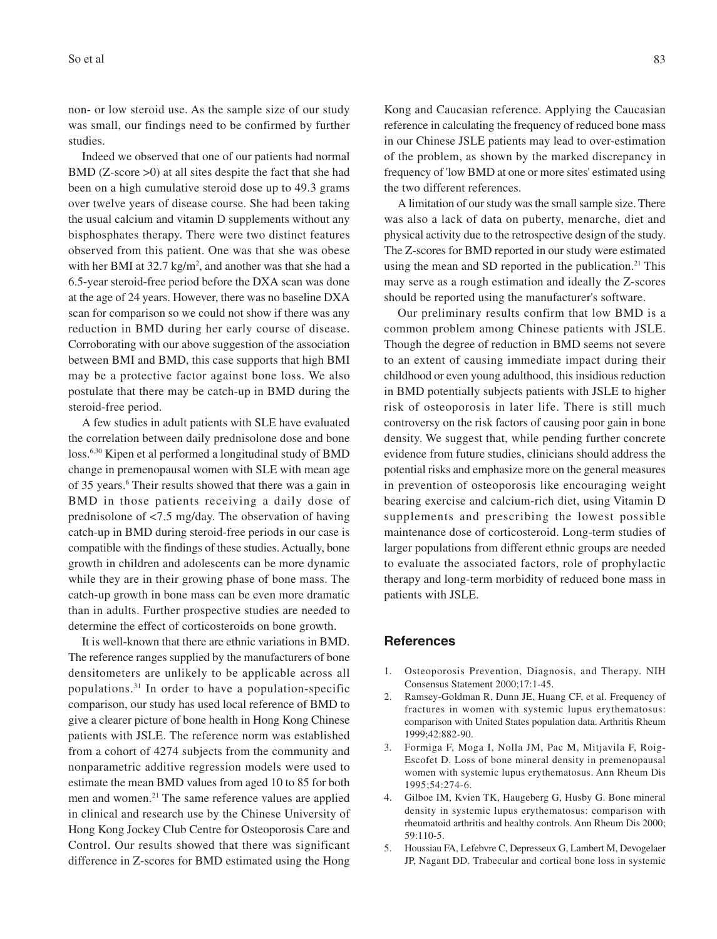non- or low steroid use. As the sample size of our study was small, our findings need to be confirmed by further studies.

Indeed we observed that one of our patients had normal BMD (Z-score >0) at all sites despite the fact that she had been on a high cumulative steroid dose up to 49.3 grams over twelve years of disease course. She had been taking the usual calcium and vitamin D supplements without any bisphosphates therapy. There were two distinct features observed from this patient. One was that she was obese with her BMI at  $32.7 \text{ kg/m}^2$ , and another was that she had a 6.5-year steroid-free period before the DXA scan was done at the age of 24 years. However, there was no baseline DXA scan for comparison so we could not show if there was any reduction in BMD during her early course of disease. Corroborating with our above suggestion of the association between BMI and BMD, this case supports that high BMI may be a protective factor against bone loss. We also postulate that there may be catch-up in BMD during the steroid-free period.

A few studies in adult patients with SLE have evaluated the correlation between daily prednisolone dose and bone loss.6,30 Kipen et al performed a longitudinal study of BMD change in premenopausal women with SLE with mean age of 35 years.<sup>6</sup> Their results showed that there was a gain in BMD in those patients receiving a daily dose of prednisolone of <7.5 mg/day. The observation of having catch-up in BMD during steroid-free periods in our case is compatible with the findings of these studies. Actually, bone growth in children and adolescents can be more dynamic while they are in their growing phase of bone mass. The catch-up growth in bone mass can be even more dramatic than in adults. Further prospective studies are needed to determine the effect of corticosteroids on bone growth.

It is well-known that there are ethnic variations in BMD. The reference ranges supplied by the manufacturers of bone densitometers are unlikely to be applicable across all populations.31 In order to have a population-specific comparison, our study has used local reference of BMD to give a clearer picture of bone health in Hong Kong Chinese patients with JSLE. The reference norm was established from a cohort of 4274 subjects from the community and nonparametric additive regression models were used to estimate the mean BMD values from aged 10 to 85 for both men and women.21 The same reference values are applied in clinical and research use by the Chinese University of Hong Kong Jockey Club Centre for Osteoporosis Care and Control. Our results showed that there was significant difference in Z-scores for BMD estimated using the Hong

Kong and Caucasian reference. Applying the Caucasian reference in calculating the frequency of reduced bone mass in our Chinese JSLE patients may lead to over-estimation of the problem, as shown by the marked discrepancy in frequency of 'low BMD at one or more sites' estimated using the two different references.

A limitation of our study was the small sample size. There was also a lack of data on puberty, menarche, diet and physical activity due to the retrospective design of the study. The Z-scores for BMD reported in our study were estimated using the mean and SD reported in the publication.<sup>21</sup> This may serve as a rough estimation and ideally the Z-scores should be reported using the manufacturer's software.

Our preliminary results confirm that low BMD is a common problem among Chinese patients with JSLE. Though the degree of reduction in BMD seems not severe to an extent of causing immediate impact during their childhood or even young adulthood, this insidious reduction in BMD potentially subjects patients with JSLE to higher risk of osteoporosis in later life. There is still much controversy on the risk factors of causing poor gain in bone density. We suggest that, while pending further concrete evidence from future studies, clinicians should address the potential risks and emphasize more on the general measures in prevention of osteoporosis like encouraging weight bearing exercise and calcium-rich diet, using Vitamin D supplements and prescribing the lowest possible maintenance dose of corticosteroid. Long-term studies of larger populations from different ethnic groups are needed to evaluate the associated factors, role of prophylactic therapy and long-term morbidity of reduced bone mass in patients with JSLE.

#### **References**

- 1. Osteoporosis Prevention, Diagnosis, and Therapy. NIH Consensus Statement 2000;17:1-45.
- 2. Ramsey-Goldman R, Dunn JE, Huang CF, et al. Frequency of fractures in women with systemic lupus erythematosus: comparison with United States population data. Arthritis Rheum 1999;42:882-90.
- 3. Formiga F, Moga I, Nolla JM, Pac M, Mitjavila F, Roig-Escofet D. Loss of bone mineral density in premenopausal women with systemic lupus erythematosus. Ann Rheum Dis 1995;54:274-6.
- 4. Gilboe IM, Kvien TK, Haugeberg G, Husby G. Bone mineral density in systemic lupus erythematosus: comparison with rheumatoid arthritis and healthy controls. Ann Rheum Dis 2000; 59:110-5.
- 5. Houssiau FA, Lefebvre C, Depresseux G, Lambert M, Devogelaer JP, Nagant DD. Trabecular and cortical bone loss in systemic